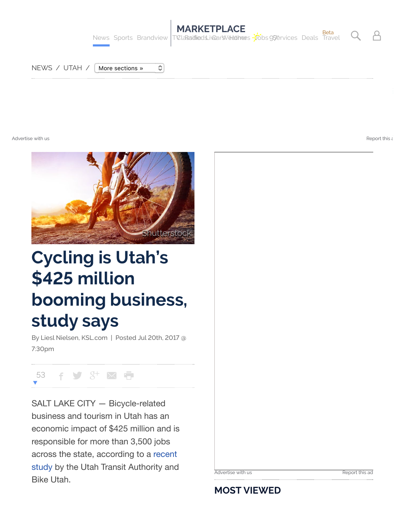

[NEWS](http://www.ksl.com/?nid=10) / [UTAH](http://www.ksl.com/?nid=30) / | More sections »

[Advertise with us](http://ads.ksl.com/) report this advertise with us report this advertise with us  $\rho$  . [Report this a](http://www.ksl.com/?sid=45103427&nid=148&title=cycling-is-utahs-425-million-booming-business-study-says#)dvertise with us  $\rho$ 



٥

## **Cycling is Utah's \$425 million booming business, study says**

By Liesl Nielsen, KSL.com | Posted Jul 20th, 2017 @ 7:30pm

53 F S 3<sup>+</sup> 区 宁

SALT LAKE CITY — Bicycle-related business and tourism in Utah has an economic impact of \$425 million and is responsible for more than 3,500 jobs across the state, according to a recent [study by the Utah Transit Authority and](https://bikeutah.org/atbenefitsstudy/) Bike Utah.

[Advertise with us](http://ads.ksl.com/) and the control of the [Report this ad](http://www.ksl.com/?sid=45103427&nid=148&title=cycling-is-utahs-425-million-booming-business-study-says#)

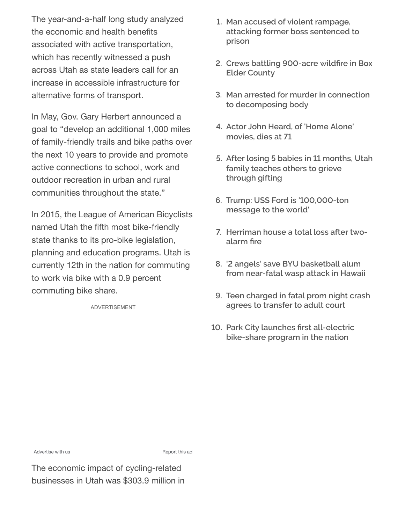The year-and-a-half long study analyzed the economic and health benefits associated with active transportation, which has recently witnessed a push across Utah as state leaders call for an increase in accessible infrastructure for alternative forms of transport.

In May, Gov. Gary Herbert announced a goal to "develop an additional 1,000 miles of family-friendly trails and bike paths over the next 10 years to provide and promote active connections to school, work and outdoor recreation in urban and rural communities throughout the state."

In 2015, the League of American Bicyclists named Utah the fifth most bike-friendly state thanks to its pro-bike legislation, planning and education programs. Utah is currently 12th in the nation for commuting to work via bike with a 0.9 percent commuting bike share.

ADVERTISEMENT

- **1. Man accused of violent rampage, [attacking former boss sentenced to](http://www.ksl.com/?sid=45089672&nid=148) prison**
- **2. [Crews battling 900-acre wild](http://www.ksl.com/?sid=45128540&nid=148)fire in Box Elder County**
- **3. [Man arrested for murder in connection](http://www.ksl.com/?sid=45120487&nid=157) to decomposing body**
- **4. [Actor John Heard, of 'Home Alone'](http://www.ksl.com/?sid=45121548&nid=1205) movies, dies at 71**
- **5. [After losing 5 babies in 11 months, Utah](http://www.ksl.com/?sid=45113101&nid=148) family teaches others to grieve through gifting**
- **6. [Trump: USS Ford is '100,000-ton](http://www.ksl.com/?sid=45119019&nid=157) message to the world'**
- **7. [Herriman house a total loss after two](http://www.ksl.com/?sid=45124196&nid=148)alarm fire**
- **8. '2 angels' save BYU basketball alum [from near-fatal wasp attack in Hawaii](http://www.ksl.com/?sid=45112816&nid=148)**
- **9. [Teen charged in fatal prom night crash](http://www.ksl.com/?sid=45116743&nid=148) agrees to transfer to adult court**
- **10. Park City launches first all-electric [bike-share program in the nation](http://www.ksl.com/?sid=45126988&nid=148)**

[Advertise with us](http://ads.ksl.com/) **Advertise** with us **Report** this ad

The economic impact of cycling-related businesses in Utah was \$303.9 million in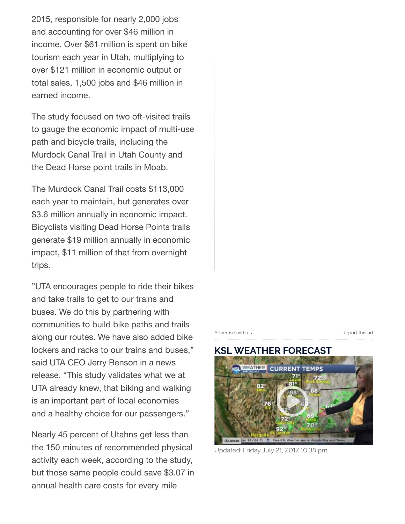2015, responsible for nearly 2,000 jobs and accounting for over \$46 million in income. Over \$61 million is spent on bike tourism each year in Utah, multiplying to over \$121 million in economic output or total sales, 1,500 jobs and \$46 million in earned income.

The study focused on two oft-visited trails to gauge the economic impact of multi-use path and bicycle trails, including the Murdock Canal Trail in Utah County and the Dead Horse point trails in Moab.

The Murdock Canal Trail costs \$113,000 each year to maintain, but generates over \$3.6 million annually in economic impact. Bicyclists visiting Dead Horse Points trails generate \$19 million annually in economic impact, \$11 million of that from overnight trips.

"UTA encourages people to ride their bikes and take trails to get to our trains and buses. We do this by partnering with communities to build bike paths and trails along our routes. We have also added bike lockers and racks to our trains and buses," said UTA CEO Jerry Benson in a news release. "This study validates what we at UTA already knew, that biking and walking is an important part of local economies and a healthy choice for our passengers."

Nearly 45 percent of Utahns get less than the 150 minutes of recommended physical activity each week, according to the study, but those same people could save \$3.07 in annual health care costs for every mile

[Advertise with us](http://ads.ksl.com/) and the control of the [Report this ad](http://www.ksl.com/?sid=45103427&nid=148&title=cycling-is-utahs-425-million-booming-business-study-says#)



Updated: Friday July 21, 2017 10:38 pm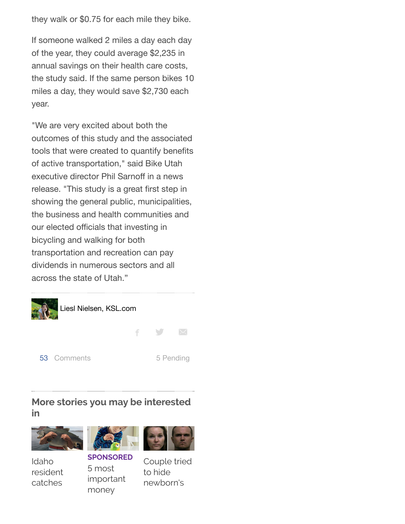they walk or \$0.75 for each mile they bike.

If someone walked 2 miles a day each day of the year, they could average \$2,235 in annual savings on their health care costs, the study said. If the same person bikes 10 miles a day, they would save \$2,730 each year.

"We are very excited about both the outcomes of this study and the associated tools that were created to quantify benefits of active transportation," said Bike Utah executive director Phil Sarnoff in a news release. "This study is a great first step in showing the general public, municipalities, the business and health communities and our elected officials that investing in bicycling and walking for both transportation and recreation can pay dividends in numerous sectors and all across the state of Utah."



## **More stories you may be interested in**



Idaho [resident](http://www.ksl.com/?sid=45107149&nid=1419) catches



**SPONSORED** 5 most [important](http://www.ksl.com/?sid=44009138&nid=1414) money



to hide newborn's